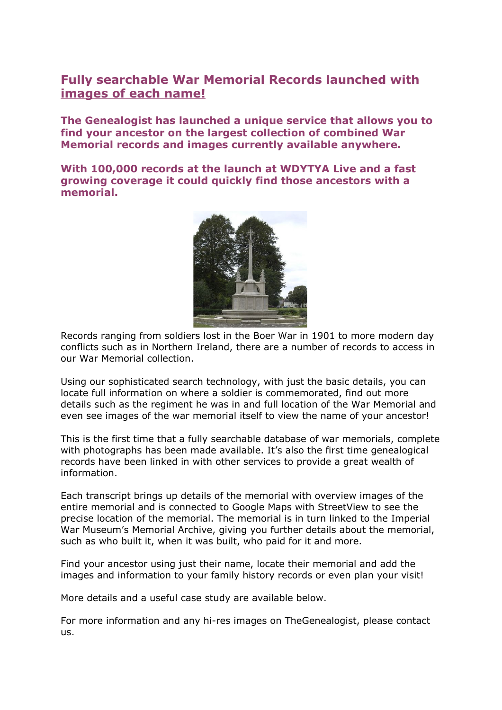## **Fully searchable War Memorial Records launched with images of each name!**

**The Genealogist has launched a unique service that allows you to find your ancestor on the largest collection of combined War Memorial records and images currently available anywhere.**

**With 100,000 records at the launch at WDYTYA Live and a fast growing coverage it could quickly find those ancestors with a memorial.**



Records ranging from soldiers lost in the Boer War in 1901 to more modern day conflicts such as in Northern Ireland, there are a number of records to access in our War Memorial collection.

Using our sophisticated search technology, with just the basic details, you can locate full information on where a soldier is commemorated, find out more details such as the regiment he was in and full location of the War Memorial and even see images of the war memorial itself to view the name of your ancestor!

This is the first time that a fully searchable database of war memorials, complete with photographs has been made available. It's also the first time genealogical records have been linked in with other services to provide a great wealth of information.

Each transcript brings up details of the memorial with overview images of the entire memorial and is connected to Google Maps with StreetView to see the precise location of the memorial. The memorial is in turn linked to the Imperial War Museum's Memorial Archive, giving you further details about the memorial, such as who built it, when it was built, who paid for it and more.

Find your ancestor using just their name, locate their memorial and add the images and information to your family history records or even plan your visit!

More details and a useful case study are available below.

For more information and any hi-res images on TheGenealogist, please contact us.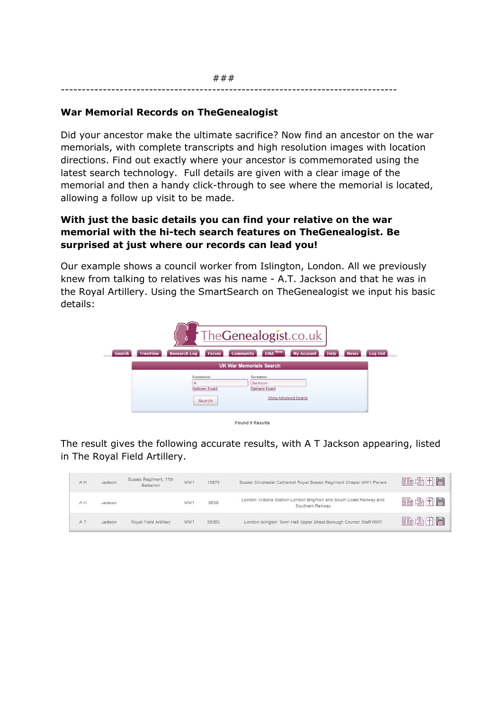## **War Memorial Records on TheGenealogist**

Did your ancestor make the ultimate sacrifice? Now find an ancestor on the war memorials, with complete transcripts and high resolution images with location directions. Find out exactly where your ancestor is commemorated using the latest search technology. Full details are given with a clear image of the memorial and then a handy click-through to see where the memorial is located, allowing a follow up visit to be made.

## **With just the basic details you can find your relative on the war memorial with the hitech search features on TheGenealogist. Be surprised at just where our records can lead you!**

Our example shows a council worker from Islington, London. All we previously knew from talking to relatives was his name - A.T. Jackson and that he was in the Royal Artillery. Using the SmartSearch on TheGenealogist we input his basic details:

|                            |                                                   | TheGenealogist.co.uk                         |                      |             |                               |  |
|----------------------------|---------------------------------------------------|----------------------------------------------|----------------------|-------------|-------------------------------|--|
| <b>TreeView</b><br>Search, | <b>Research Log</b><br>Forum                      | DNA New<br><b>Community</b>                  | <b>My Account</b>    | <b>Help</b> | <b>Log Out</b><br><b>News</b> |  |
|                            |                                                   | <b>UK War Memorials Search</b>               |                      |             |                               |  |
|                            | Forename:<br>A<br><b>Options: Exact</b><br>Search | Surname:<br>Jackson<br><b>Options: Exact</b> | Show Advanced Search |             |                               |  |

Found 9 Results

The result gives the following accurate results, with A T Jackson appearing, listed in The Royal Field Artillery.

| AH  | Jackson | Sussex Regiment, 11th<br>Battalion | WW1 | 16870 | Sussex Chichester Cathedral Royal Sussex Regiment Chapel WW1 Panels                     | 角齿角目 |
|-----|---------|------------------------------------|-----|-------|-----------------------------------------------------------------------------------------|------|
| AH  | Jackson |                                    | WW1 | 9538  | London Victoria Station London Brighton and South Coast Railway and<br>Southern Railway | 抽齿曲目 |
| A T | Jackson | Royal Field Artillery              | WW1 | 39363 | London Islington Town Hall Upper Street Borough Council Staff WW1                       | 角齿白目 |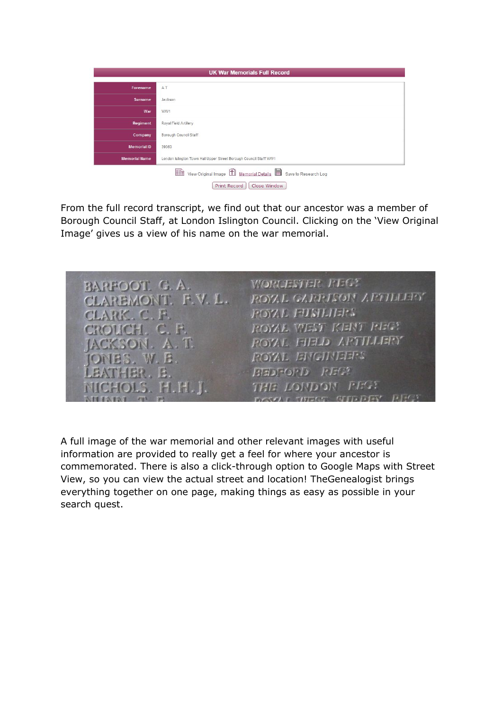| Forename             | AT                                                                |
|----------------------|-------------------------------------------------------------------|
| <b>Surname</b>       | Jackson                                                           |
| War                  | WW1                                                               |
| Regiment             | Royal Field Artillery                                             |
| Company              | Borough Council Staff                                             |
| <b>Memorial ID</b>   | 39363                                                             |
| <b>Memorial Name</b> | London Islington Town Hall Upper Street Borough Council Staff WW1 |

From the full record transcript, we find out that our ancestor was a member of Borough Council Staff, at London Islington Council. Clicking on the 'View Original Image' gives us a view of his name on the war memorial.



A full image of the war memorial and other relevant images with useful information are provided to really get a feel for where your ancestor is commemorated. There is also a click-through option to Google Maps with Street View, so you can view the actual street and location! TheGenealogist brings everything together on one page, making things as easy as possible in your search quest.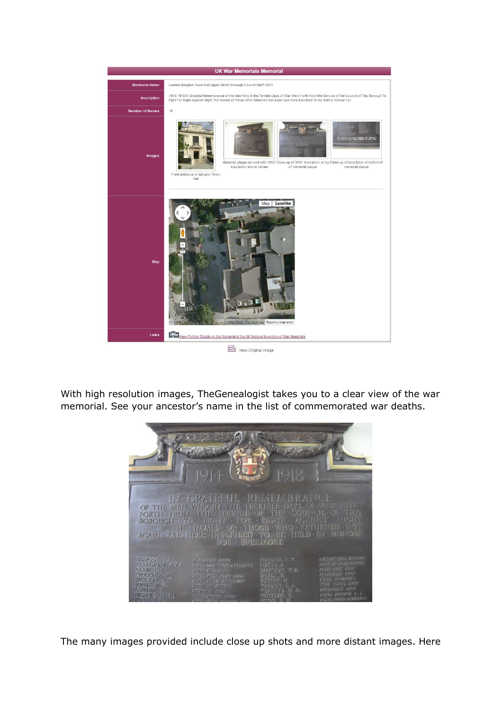

View Original Image

With high resolution images, TheGenealogist takes you to a clear view of the war memorial. See your ancestor's name in the list of commemorated war deaths.



The many images provided include close up shots and more distant images. Here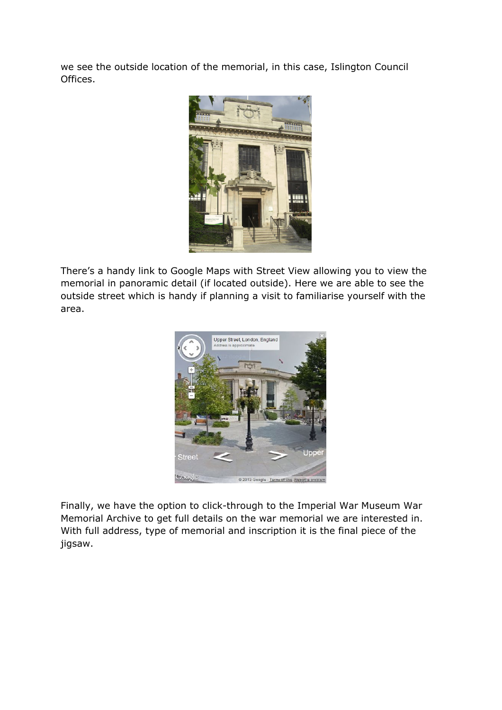we see the outside location of the memorial, in this case, Islington Council Offices.



There's a handy link to Google Maps with Street View allowing you to view the memorial in panoramic detail (if located outside). Here we are able to see the outside street which is handy if planning a visit to familiarise yourself with the area.



Finally, we have the option to click-through to the Imperial War Museum War Memorial Archive to get full details on the war memorial we are interested in. With full address, type of memorial and inscription it is the final piece of the jigsaw.